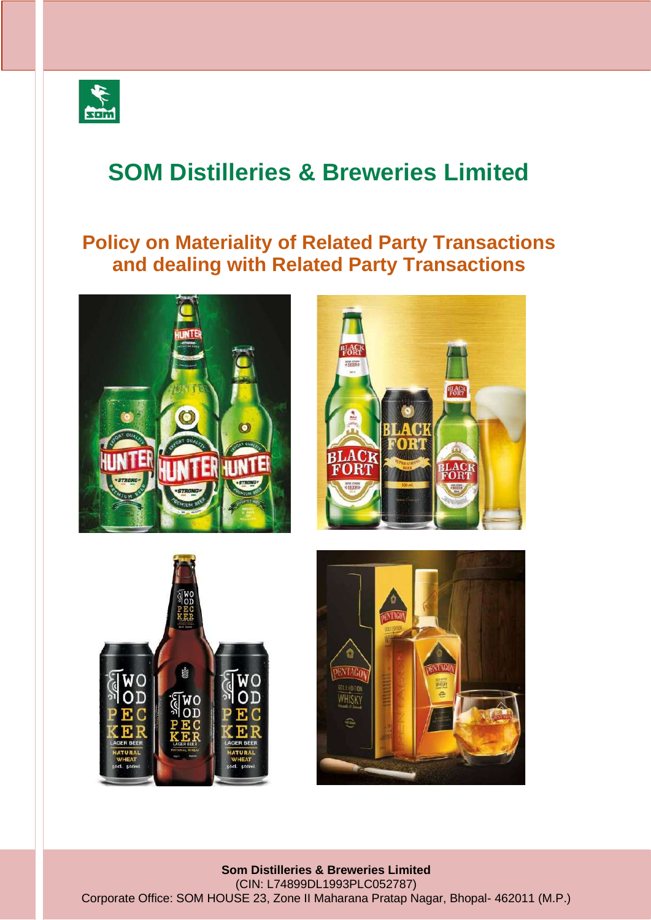

# **SOM Distilleries & Breweries Limited**

# **Policy on Materiality of Related Party Transactions and dealing with Related Party Transactions**









**Som Distilleries & Breweries Limited** (CIN: L74899DL1993PLC052787) Corporate Office: SOM HOUSE 23, Zone II Maharana Pratap Nagar, Bhopal- 462011 (M.P.)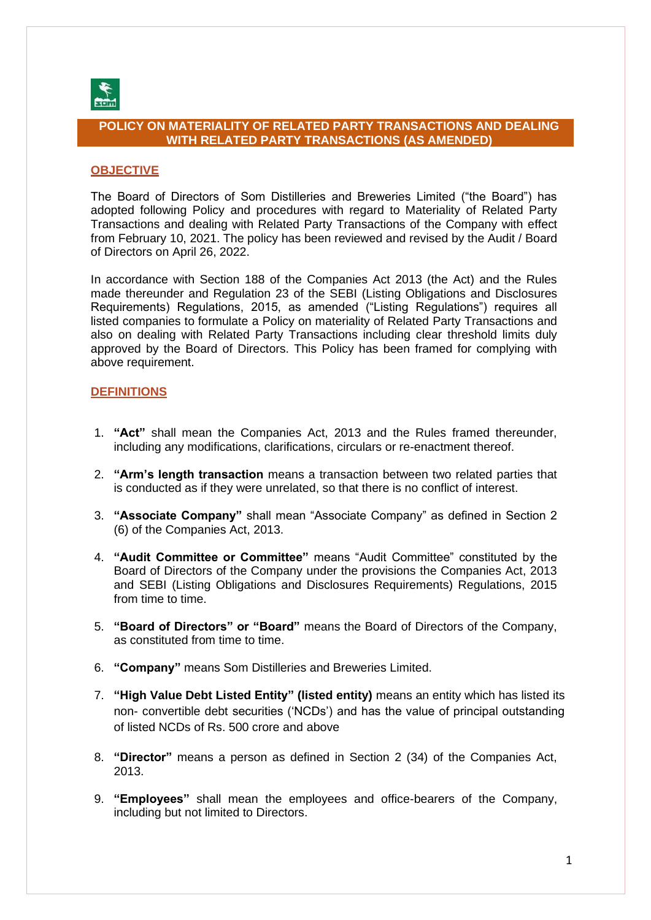

# **POLICY ON MATERIALITY OF RELATED PARTY TRANSACTIONS AND DEALING WITH RELATED PARTY TRANSACTIONS (AS AMENDED)**

# **OBJECTIVE**

The Board of Directors of Som Distilleries and Breweries Limited ("the Board") has adopted following Policy and procedures with regard to Materiality of Related Party Transactions and dealing with Related Party Transactions of the Company with effect from February 10, 2021. The policy has been reviewed and revised by the Audit / Board of Directors on April 26, 2022.

In accordance with Section 188 of the Companies Act 2013 (the Act) and the Rules made thereunder and Regulation 23 of the SEBI (Listing Obligations and Disclosures Requirements) Regulations, 2015, as amended ("Listing Regulations") requires all listed companies to formulate a Policy on materiality of Related Party Transactions and also on dealing with Related Party Transactions including clear threshold limits duly approved by the Board of Directors. This Policy has been framed for complying with above requirement.

#### **DEFINITIONS**

- 1. **"Act"** shall mean the Companies Act, 2013 and the Rules framed thereunder, including any modifications, clarifications, circulars or re-enactment thereof.
- 2. **"Arm's length transaction** means a transaction between two related parties that is conducted as if they were unrelated, so that there is no conflict of interest.
- 3. **"Associate Company"** shall mean "Associate Company" as defined in Section 2 (6) of the Companies Act, 2013.
- 4. **"Audit Committee or Committee"** means "Audit Committee" constituted by the Board of Directors of the Company under the provisions the Companies Act, 2013 and SEBI (Listing Obligations and Disclosures Requirements) Regulations, 2015 from time to time.
- 5. **"Board of Directors" or "Board"** means the Board of Directors of the Company, as constituted from time to time.
- 6. **"Company"** means Som Distilleries and Breweries Limited.
- 7. **"High Value Debt Listed Entity" (listed entity)** means an entity which has listed its non- convertible debt securities ('NCDs') and has the value of principal outstanding of listed NCDs of Rs. 500 crore and above
- 8. **"Director"** means a person as defined in Section 2 (34) of the Companies Act, 2013.
- 9. **"Employees"** shall mean the employees and office-bearers of the Company, including but not limited to Directors.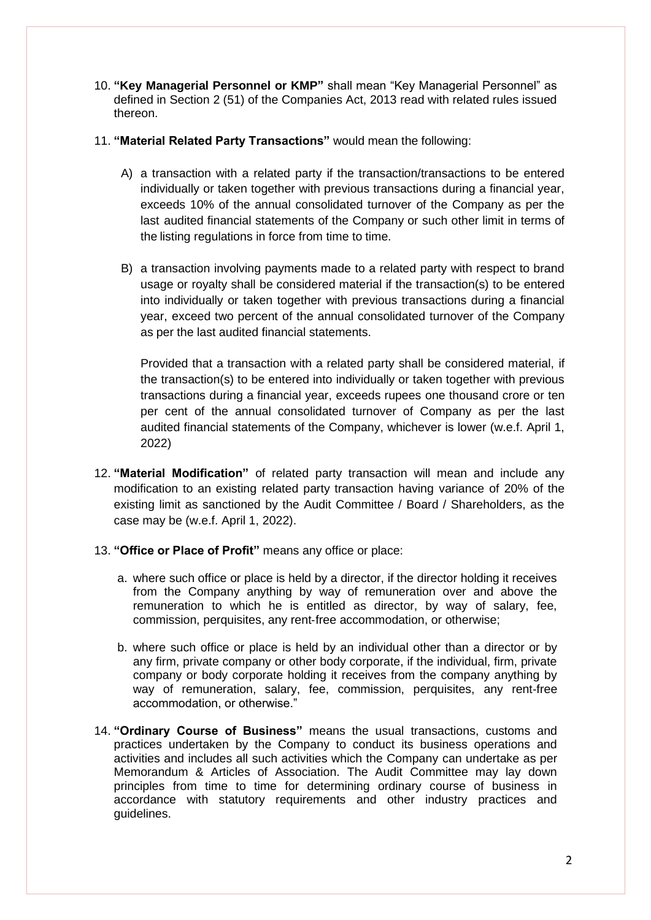- 10. **"Key Managerial Personnel or KMP"** shall mean "Key Managerial Personnel" as defined in Section 2 (51) of the Companies Act, 2013 read with related rules issued thereon.
- 11. **"Material Related Party Transactions"** would mean the following:
	- A) a transaction with a related party if the transaction/transactions to be entered individually or taken together with previous transactions during a financial year, exceeds 10% of the annual consolidated turnover of the Company as per the last audited financial statements of the Company or such other limit in terms of the listing regulations in force from time to time.
	- B) a transaction involving payments made to a related party with respect to brand usage or royalty shall be considered material if the transaction(s) to be entered into individually or taken together with previous transactions during a financial year, exceed two percent of the annual consolidated turnover of the Company as per the last audited financial statements.

Provided that a transaction with a related party shall be considered material, if the transaction(s) to be entered into individually or taken together with previous transactions during a financial year, exceeds rupees one thousand crore or ten per cent of the annual consolidated turnover of Company as per the last audited financial statements of the Company, whichever is lower (w.e.f. April 1, 2022)

- 12. **"Material Modification"** of related party transaction will mean and include any modification to an existing related party transaction having variance of 20% of the existing limit as sanctioned by the Audit Committee / Board / Shareholders, as the case may be (w.e.f. April 1, 2022).
- 13. **"Office or Place of Profit"** means any office or place:
	- a. where such office or place is held by a director, if the director holding it receives from the Company anything by way of remuneration over and above the remuneration to which he is entitled as director, by way of salary, fee, commission, perquisites, any rent‐free accommodation, or otherwise;
	- b. where such office or place is held by an individual other than a director or by any firm, private company or other body corporate, if the individual, firm, private company or body corporate holding it receives from the company anything by way of remuneration, salary, fee, commission, perquisites, any rent‐free accommodation, or otherwise."
- 14. **"Ordinary Course of Business"** means the usual transactions, customs and practices undertaken by the Company to conduct its business operations and activities and includes all such activities which the Company can undertake as per Memorandum & Articles of Association. The Audit Committee may lay down principles from time to time for determining ordinary course of business in accordance with statutory requirements and other industry practices and guidelines.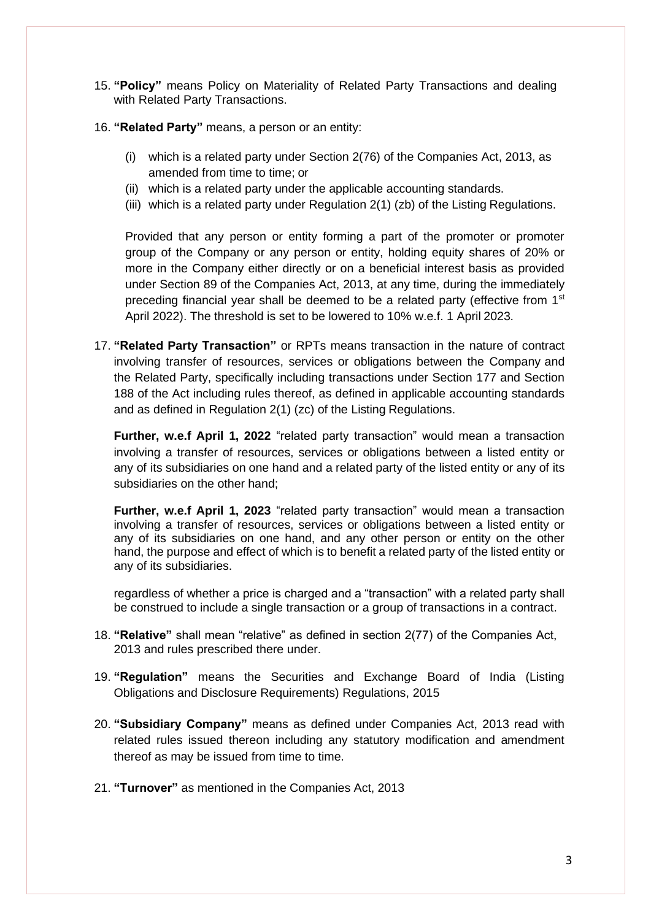- 15. **"Policy"** means Policy on Materiality of Related Party Transactions and dealing with Related Party Transactions.
- 16. **"Related Party"** means, a person or an entity:
	- (i) which is a related party under Section 2(76) of the Companies Act, 2013, as amended from time to time; or
	- (ii) which is a related party under the applicable accounting standards.
	- (iii) which is a related party under Regulation 2(1) (zb) of the Listing Regulations.

Provided that any person or entity forming a part of the promoter or promoter group of the Company or any person or entity, holding equity shares of 20% or more in the Company either directly or on a beneficial interest basis as provided under Section 89 of the Companies Act, 2013, at any time, during the immediately preceding financial year shall be deemed to be a related party (effective from  $1<sup>st</sup>$ April 2022). The threshold is set to be lowered to 10% w.e.f. 1 April 2023.

17. **"Related Party Transaction"** or RPTs means transaction in the nature of contract involving transfer of resources, services or obligations between the Company and the Related Party, specifically including transactions under Section 177 and Section 188 of the Act including rules thereof, as defined in applicable accounting standards and as defined in Regulation 2(1) (zc) of the Listing Regulations.

**Further, w.e.f April 1, 2022** "related party transaction" would mean a transaction involving a transfer of resources, services or obligations between a listed entity or any of its subsidiaries on one hand and a related party of the listed entity or any of its subsidiaries on the other hand;

**Further, w.e.f April 1, 2023** "related party transaction" would mean a transaction involving a transfer of resources, services or obligations between a listed entity or any of its subsidiaries on one hand, and any other person or entity on the other hand, the purpose and effect of which is to benefit a related party of the listed entity or any of its subsidiaries.

regardless of whether a price is charged and a "transaction" with a related party shall be construed to include a single transaction or a group of transactions in a contract.

- 18. **"Relative"** shall mean "relative" as defined in section 2(77) of the Companies Act, 2013 and rules prescribed there under.
- 19. **"Regulation"** means the Securities and Exchange Board of India (Listing Obligations and Disclosure Requirements) Regulations, 2015
- 20. **"Subsidiary Company"** means as defined under Companies Act, 2013 read with related rules issued thereon including any statutory modification and amendment thereof as may be issued from time to time.
- 21. **"Turnover"** as mentioned in the Companies Act, 2013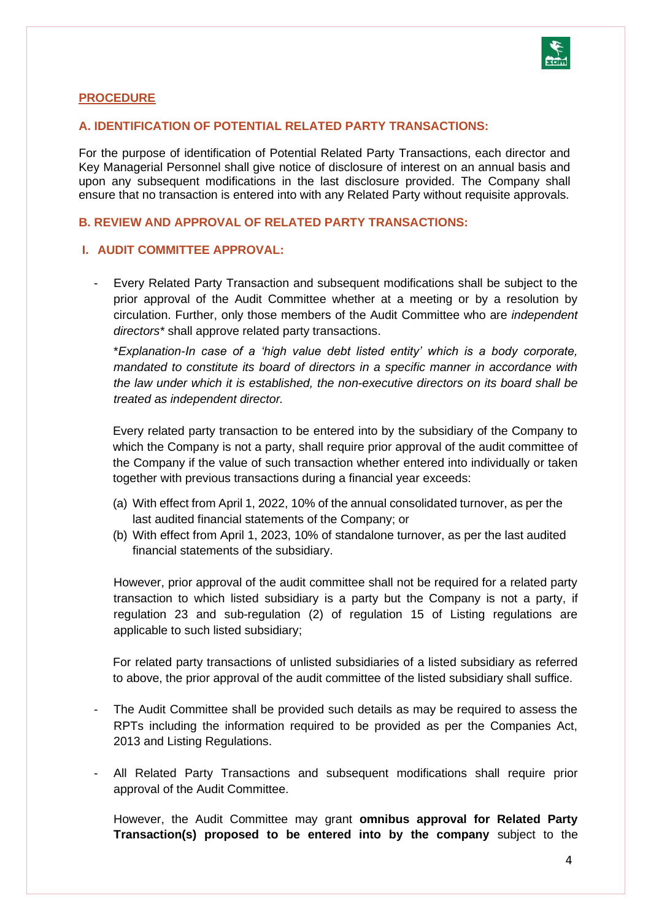

# **PROCEDURE**

# **A. IDENTIFICATION OF POTENTIAL RELATED PARTY TRANSACTIONS:**

For the purpose of identification of Potential Related Party Transactions, each director and Key Managerial Personnel shall give notice of disclosure of interest on an annual basis and upon any subsequent modifications in the last disclosure provided. The Company shall ensure that no transaction is entered into with any Related Party without requisite approvals.

# **B. REVIEW AND APPROVAL OF RELATED PARTY TRANSACTIONS:**

# **I. AUDIT COMMITTEE APPROVAL:**

Every Related Party Transaction and subsequent modifications shall be subject to the prior approval of the Audit Committee whether at a meeting or by a resolution by circulation. Further, only those members of the Audit Committee who are *independent directors\** shall approve related party transactions.

\**Explanation-In case of a 'high value debt listed entity' which is a body corporate, mandated to constitute its board of directors in a specific manner in accordance with the law under which it is established, the non-executive directors on its board shall be treated as independent director.*

Every related party transaction to be entered into by the subsidiary of the Company to which the Company is not a party, shall require prior approval of the audit committee of the Company if the value of such transaction whether entered into individually or taken together with previous transactions during a financial year exceeds:

- (a) With effect from April 1, 2022, 10% of the annual consolidated turnover, as per the last audited financial statements of the Company; or
- (b) With effect from April 1, 2023, 10% of standalone turnover, as per the last audited financial statements of the subsidiary.

However, prior approval of the audit committee shall not be required for a related party transaction to which listed subsidiary is a party but the Company is not a party, if regulation 23 and sub-regulation (2) of regulation 15 of Listing regulations are applicable to such listed subsidiary;

For related party transactions of unlisted subsidiaries of a listed subsidiary as referred to above, the prior approval of the audit committee of the listed subsidiary shall suffice.

- The Audit Committee shall be provided such details as may be required to assess the RPTs including the information required to be provided as per the Companies Act, 2013 and Listing Regulations.
- All Related Party Transactions and subsequent modifications shall require prior approval of the Audit Committee.

However, the Audit Committee may grant **omnibus approval for Related Party Transaction(s) proposed to be entered into by the company** subject to the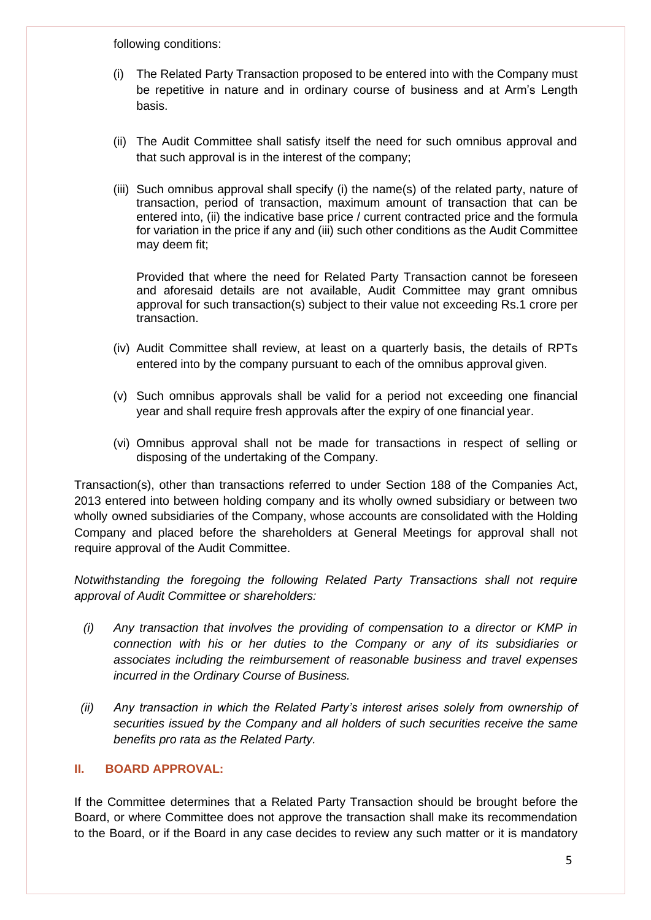following conditions:

- (i) The Related Party Transaction proposed to be entered into with the Company must be repetitive in nature and in ordinary course of business and at Arm's Length basis.
- (ii) The Audit Committee shall satisfy itself the need for such omnibus approval and that such approval is in the interest of the company;
- (iii) Such omnibus approval shall specify (i) the name(s) of the related party, nature of transaction, period of transaction, maximum amount of transaction that can be entered into, (ii) the indicative base price / current contracted price and the formula for variation in the price if any and (iii) such other conditions as the Audit Committee may deem fit;

Provided that where the need for Related Party Transaction cannot be foreseen and aforesaid details are not available, Audit Committee may grant omnibus approval for such transaction(s) subject to their value not exceeding Rs.1 crore per transaction.

- (iv) Audit Committee shall review, at least on a quarterly basis, the details of RPTs entered into by the company pursuant to each of the omnibus approval given.
- (v) Such omnibus approvals shall be valid for a period not exceeding one financial year and shall require fresh approvals after the expiry of one financial year.
- (vi) Omnibus approval shall not be made for transactions in respect of selling or disposing of the undertaking of the Company.

Transaction(s), other than transactions referred to under Section 188 of the Companies Act, 2013 entered into between holding company and its wholly owned subsidiary or between two wholly owned subsidiaries of the Company, whose accounts are consolidated with the Holding Company and placed before the shareholders at General Meetings for approval shall not require approval of the Audit Committee.

*Notwithstanding the foregoing the following Related Party Transactions shall not require approval of Audit Committee or shareholders:*

- *(i) Any transaction that involves the providing of compensation to a director or KMP in connection with his or her duties to the Company or any of its subsidiaries or associates including the reimbursement of reasonable business and travel expenses incurred in the Ordinary Course of Business.*
- *(ii) Any transaction in which the Related Party's interest arises solely from ownership of securities issued by the Company and all holders of such securities receive the same benefits pro rata as the Related Party.*

# **II. BOARD APPROVAL:**

If the Committee determines that a Related Party Transaction should be brought before the Board, or where Committee does not approve the transaction shall make its recommendation to the Board, or if the Board in any case decides to review any such matter or it is mandatory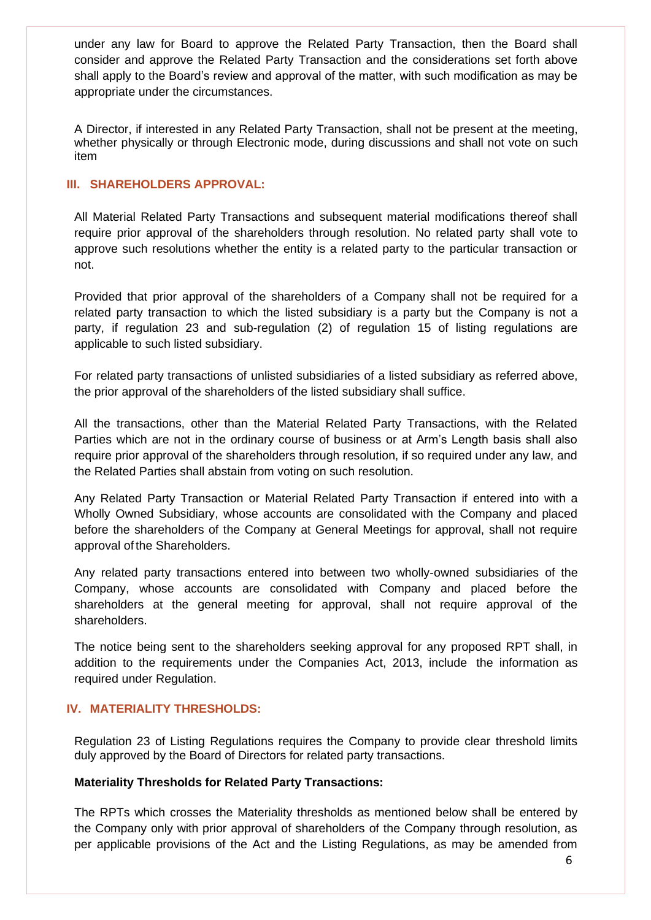under any law for Board to approve the Related Party Transaction, then the Board shall consider and approve the Related Party Transaction and the considerations set forth above shall apply to the Board's review and approval of the matter, with such modification as may be appropriate under the circumstances.

A Director, if interested in any Related Party Transaction, shall not be present at the meeting, whether physically or through Electronic mode, during discussions and shall not vote on such item

# **III. SHAREHOLDERS APPROVAL:**

All Material Related Party Transactions and subsequent material modifications thereof shall require prior approval of the shareholders through resolution. No related party shall vote to approve such resolutions whether the entity is a related party to the particular transaction or not.

Provided that prior approval of the shareholders of a Company shall not be required for a related party transaction to which the listed subsidiary is a party but the Company is not a party, if regulation 23 and sub-regulation (2) of regulation 15 of listing regulations are applicable to such listed subsidiary.

For related party transactions of unlisted subsidiaries of a listed subsidiary as referred above, the prior approval of the shareholders of the listed subsidiary shall suffice.

All the transactions, other than the Material Related Party Transactions, with the Related Parties which are not in the ordinary course of business or at Arm's Length basis shall also require prior approval of the shareholders through resolution, if so required under any law, and the Related Parties shall abstain from voting on such resolution.

Any Related Party Transaction or Material Related Party Transaction if entered into with a Wholly Owned Subsidiary, whose accounts are consolidated with the Company and placed before the shareholders of the Company at General Meetings for approval, shall not require approval of the Shareholders.

Any related party transactions entered into between two wholly-owned subsidiaries of the Company, whose accounts are consolidated with Company and placed before the shareholders at the general meeting for approval, shall not require approval of the shareholders.

The notice being sent to the shareholders seeking approval for any proposed RPT shall, in addition to the requirements under the Companies Act, 2013, include the information as required under Regulation.

# **IV. MATERIALITY THRESHOLDS:**

Regulation 23 of Listing Regulations requires the Company to provide clear threshold limits duly approved by the Board of Directors for related party transactions.

# **Materiality Thresholds for Related Party Transactions:**

The RPTs which crosses the Materiality thresholds as mentioned below shall be entered by the Company only with prior approval of shareholders of the Company through resolution, as per applicable provisions of the Act and the Listing Regulations, as may be amended from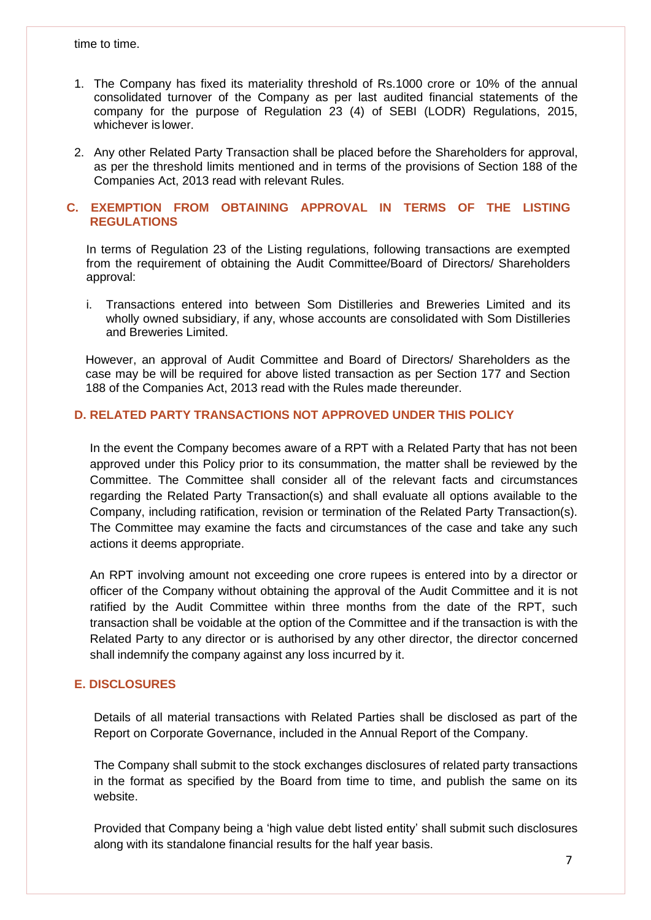time to time.

- 1. The Company has fixed its materiality threshold of Rs.1000 crore or 10% of the annual consolidated turnover of the Company as per last audited financial statements of the company for the purpose of Regulation 23 (4) of SEBI (LODR) Regulations, 2015, whichever is lower.
- 2. Any other Related Party Transaction shall be placed before the Shareholders for approval, as per the threshold limits mentioned and in terms of the provisions of Section 188 of the Companies Act, 2013 read with relevant Rules.

# **C. EXEMPTION FROM OBTAINING APPROVAL IN TERMS OF THE LISTING REGULATIONS**

In terms of Regulation 23 of the Listing regulations, following transactions are exempted from the requirement of obtaining the Audit Committee/Board of Directors/ Shareholders approval:

i. Transactions entered into between Som Distilleries and Breweries Limited and its wholly owned subsidiary, if any, whose accounts are consolidated with Som Distilleries and Breweries Limited.

However, an approval of Audit Committee and Board of Directors/ Shareholders as the case may be will be required for above listed transaction as per Section 177 and Section 188 of the Companies Act, 2013 read with the Rules made thereunder.

# **D. RELATED PARTY TRANSACTIONS NOT APPROVED UNDER THIS POLICY**

In the event the Company becomes aware of a RPT with a Related Party that has not been approved under this Policy prior to its consummation, the matter shall be reviewed by the Committee. The Committee shall consider all of the relevant facts and circumstances regarding the Related Party Transaction(s) and shall evaluate all options available to the Company, including ratification, revision or termination of the Related Party Transaction(s). The Committee may examine the facts and circumstances of the case and take any such actions it deems appropriate.

An RPT involving amount not exceeding one crore rupees is entered into by a director or officer of the Company without obtaining the approval of the Audit Committee and it is not ratified by the Audit Committee within three months from the date of the RPT, such transaction shall be voidable at the option of the Committee and if the transaction is with the Related Party to any director or is authorised by any other director, the director concerned shall indemnify the company against any loss incurred by it.

#### **E. DISCLOSURES**

Details of all material transactions with Related Parties shall be disclosed as part of the Report on Corporate Governance, included in the Annual Report of the Company.

The Company shall submit to the stock exchanges disclosures of related party transactions in the format as specified by the Board from time to time, and publish the same on its website.

Provided that Company being a 'high value debt listed entity' shall submit such disclosures along with its standalone financial results for the half year basis.